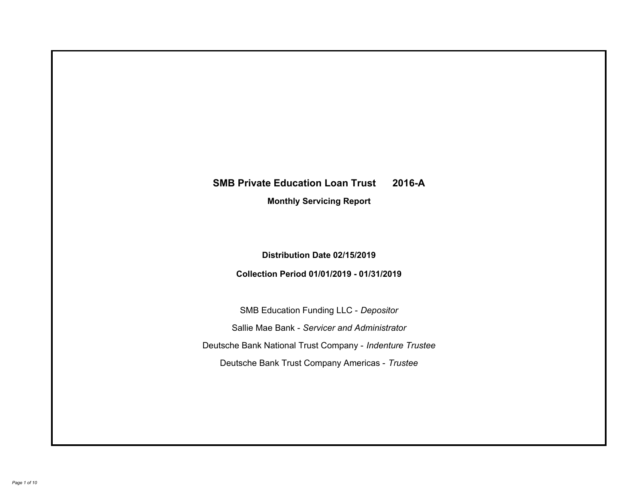# **SMB Private Education Loan Trust 2016-A Monthly Servicing Report**

## **Distribution Date 02/15/2019**

## **Collection Period 01/01/2019 - 01/31/2019**

SMB Education Funding LLC - *Depositor* Sallie Mae Bank - *Servicer and Administrator* Deutsche Bank National Trust Company - *Indenture Trustee* Deutsche Bank Trust Company Americas - *Trustee*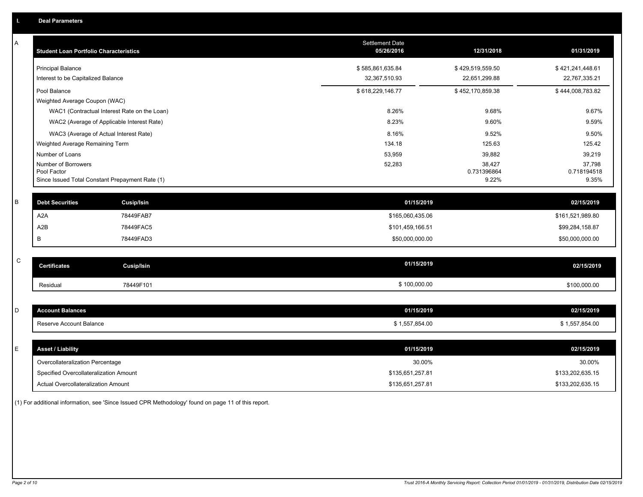| Α           | <b>Student Loan Portfolio Characteristics</b> |                                                 | <b>Settlement Date</b><br>05/26/2016 | 12/31/2018           | 01/31/2019           |
|-------------|-----------------------------------------------|-------------------------------------------------|--------------------------------------|----------------------|----------------------|
|             | <b>Principal Balance</b>                      |                                                 | \$585,861,635.84                     | \$429,519,559.50     | \$421,241,448.61     |
|             | Interest to be Capitalized Balance            |                                                 | 32,367,510.93                        | 22,651,299.88        | 22,767,335.21        |
|             | Pool Balance                                  |                                                 | \$618,229,146.77                     | \$452,170,859.38     | \$444,008,783.82     |
|             | Weighted Average Coupon (WAC)                 |                                                 |                                      |                      |                      |
|             |                                               | WAC1 (Contractual Interest Rate on the Loan)    | 8.26%                                | 9.68%                | 9.67%                |
|             |                                               | WAC2 (Average of Applicable Interest Rate)      | 8.23%                                | 9.60%                | 9.59%                |
|             |                                               | WAC3 (Average of Actual Interest Rate)          | 8.16%                                | 9.52%                | 9.50%                |
|             | Weighted Average Remaining Term               |                                                 | 134.18                               | 125.63               | 125.42               |
|             | Number of Loans                               |                                                 | 53,959                               | 39,882               | 39,219               |
|             | Number of Borrowers                           |                                                 | 52,283                               | 38,427               | 37,798               |
|             | Pool Factor                                   | Since Issued Total Constant Prepayment Rate (1) |                                      | 0.731396864<br>9.22% | 0.718194518<br>9.35% |
|             |                                               |                                                 |                                      |                      |                      |
| B           | <b>Debt Securities</b>                        | <b>Cusip/Isin</b>                               | 01/15/2019                           |                      | 02/15/2019           |
|             | A <sub>2</sub> A                              | 78449FAB7                                       | \$165,060,435.06                     |                      | \$161,521,989.80     |
|             | A <sub>2</sub> B                              | 78449FAC5                                       | \$101,459,166.51                     |                      | \$99,284,158.87      |
|             | B                                             | 78449FAD3                                       | \$50,000,000.00                      |                      | \$50,000,000.00      |
|             |                                               |                                                 |                                      |                      |                      |
| $\mathsf C$ | <b>Certificates</b>                           | <b>Cusip/Isin</b>                               | 01/15/2019                           |                      | 02/15/2019           |
|             | Residual                                      | 78449F101                                       | \$100,000.00                         |                      | \$100,000.00         |
|             |                                               |                                                 |                                      |                      |                      |
| D           | <b>Account Balances</b>                       |                                                 | 01/15/2019                           |                      | 02/15/2019           |
|             | Reserve Account Balance                       |                                                 | \$1,557,854.00                       |                      | \$1,557,854.00       |
|             |                                               |                                                 |                                      |                      |                      |
| Е           | <b>Asset / Liability</b>                      |                                                 | 01/15/2019                           |                      | 02/15/2019           |
|             | Overcollateralization Percentage              |                                                 | 30.00%                               |                      | 30.00%               |
|             | Specified Overcollateralization Amount        |                                                 | \$135,651,257.81                     |                      | \$133,202,635.15     |
|             | Actual Overcollateralization Amount           |                                                 | \$135,651,257.81                     |                      | \$133,202,635.15     |

(1) For additional information, see 'Since Issued CPR Methodology' found on page 11 of this report.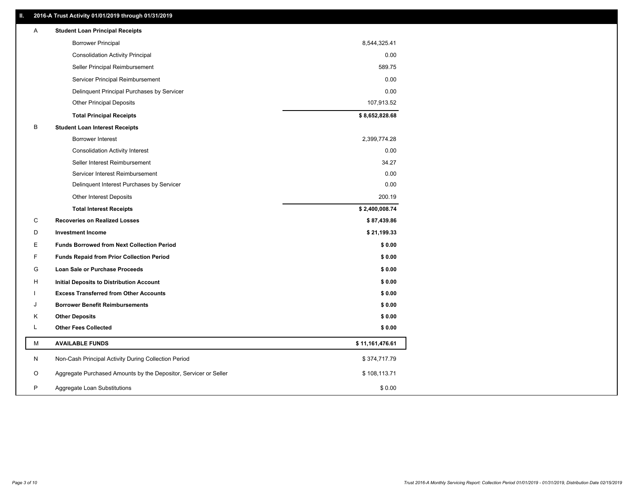## **II. 2016-A Trust Activity 01/01/2019 through 01/31/2019**

| Α  | <b>Student Loan Principal Receipts</b>                           |                 |  |
|----|------------------------------------------------------------------|-----------------|--|
|    | <b>Borrower Principal</b>                                        | 8,544,325.41    |  |
|    | <b>Consolidation Activity Principal</b>                          | 0.00            |  |
|    | Seller Principal Reimbursement                                   | 589.75          |  |
|    | Servicer Principal Reimbursement                                 | 0.00            |  |
|    | Delinquent Principal Purchases by Servicer                       | 0.00            |  |
|    | <b>Other Principal Deposits</b>                                  | 107,913.52      |  |
|    | <b>Total Principal Receipts</b>                                  | \$8,652,828.68  |  |
| В  | <b>Student Loan Interest Receipts</b>                            |                 |  |
|    | Borrower Interest                                                | 2,399,774.28    |  |
|    | <b>Consolidation Activity Interest</b>                           | 0.00            |  |
|    | Seller Interest Reimbursement                                    | 34.27           |  |
|    | Servicer Interest Reimbursement                                  | 0.00            |  |
|    | Delinquent Interest Purchases by Servicer                        | 0.00            |  |
|    | Other Interest Deposits                                          | 200.19          |  |
|    | <b>Total Interest Receipts</b>                                   | \$2,400,008.74  |  |
| C  | <b>Recoveries on Realized Losses</b>                             | \$87,439.86     |  |
| D  | <b>Investment Income</b>                                         | \$21,199.33     |  |
| Е  | <b>Funds Borrowed from Next Collection Period</b>                | \$0.00          |  |
| F. | <b>Funds Repaid from Prior Collection Period</b>                 | \$0.00          |  |
| G  | <b>Loan Sale or Purchase Proceeds</b>                            | \$0.00          |  |
| н  | Initial Deposits to Distribution Account                         | \$0.00          |  |
|    | <b>Excess Transferred from Other Accounts</b>                    | \$0.00          |  |
| J  | <b>Borrower Benefit Reimbursements</b>                           | \$0.00          |  |
| Κ  | <b>Other Deposits</b>                                            | \$0.00          |  |
| L  | <b>Other Fees Collected</b>                                      | \$0.00          |  |
| М  | <b>AVAILABLE FUNDS</b>                                           | \$11,161,476.61 |  |
| N  | Non-Cash Principal Activity During Collection Period             | \$374,717.79    |  |
| O  | Aggregate Purchased Amounts by the Depositor, Servicer or Seller | \$108,113.71    |  |
| P  | Aggregate Loan Substitutions                                     | \$0.00          |  |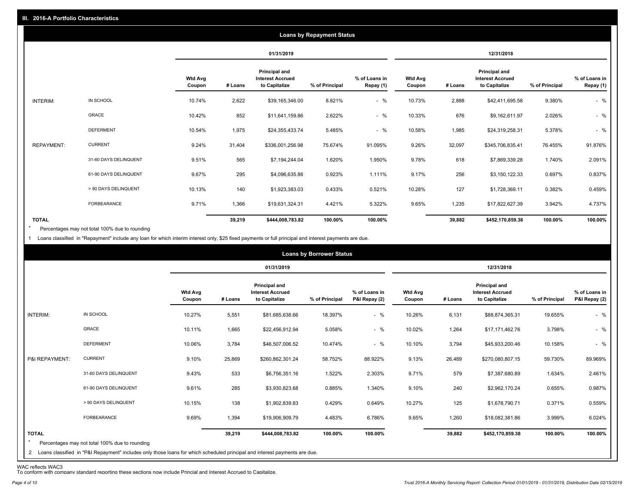|                   |                       |                          |         |                                                           | <b>Loans by Repayment Status</b> |                            |                          |         |                                                                  |                |                            |
|-------------------|-----------------------|--------------------------|---------|-----------------------------------------------------------|----------------------------------|----------------------------|--------------------------|---------|------------------------------------------------------------------|----------------|----------------------------|
|                   |                       |                          |         | 01/31/2019                                                |                                  |                            |                          |         | 12/31/2018                                                       |                |                            |
|                   |                       | <b>Wtd Avg</b><br>Coupon | # Loans | Principal and<br><b>Interest Accrued</b><br>to Capitalize | % of Principal                   | % of Loans in<br>Repay (1) | <b>Wtd Avg</b><br>Coupon | # Loans | <b>Principal and</b><br><b>Interest Accrued</b><br>to Capitalize | % of Principal | % of Loans in<br>Repay (1) |
| INTERIM:          | IN SCHOOL             | 10.74%                   | 2,622   | \$39,165,346.00                                           | 8.821%                           | $-$ %                      | 10.73%                   | 2,888   | \$42,411,695.58                                                  | 9.380%         | $-$ %                      |
|                   | GRACE                 | 10.42%                   | 852     | \$11,641,159.86                                           | 2.622%                           | $-$ %                      | 10.33%                   | 676     | \$9,162,611.97                                                   | 2.026%         | $-$ %                      |
|                   | <b>DEFERMENT</b>      | 10.54%                   | 1,975   | \$24,355,433.74                                           | 5.485%                           | $-$ %                      | 10.58%                   | 1,985   | \$24,319,258.31                                                  | 5.378%         | $-$ %                      |
| <b>REPAYMENT:</b> | <b>CURRENT</b>        | 9.24%                    | 31,404  | \$336,001,256.98                                          | 75.674%                          | 91.095%                    | 9.26%                    | 32,097  | \$345,706,835.41                                                 | 76.455%        | 91.876%                    |
|                   | 31-60 DAYS DELINQUENT | 9.51%                    | 565     | \$7,194,244.04                                            | 1.620%                           | 1.950%                     | 9.78%                    | 618     | \$7,869,339.28                                                   | 1.740%         | 2.091%                     |
|                   | 61-90 DAYS DELINQUENT | 9.67%                    | 295     | \$4,096,635.86                                            | 0.923%                           | 1.111%                     | 9.17%                    | 256     | \$3,150,122.33                                                   | 0.697%         | 0.837%                     |
|                   | > 90 DAYS DELINQUENT  | 10.13%                   | 140     | \$1,923,383.03                                            | 0.433%                           | 0.521%                     | 10.28%                   | 127     | \$1,728,369.11                                                   | 0.382%         | 0.459%                     |
|                   | <b>FORBEARANCE</b>    | 9.71%                    | 1,366   | \$19,631,324.31                                           | 4.421%                           | 5.322%                     | 9.65%                    | 1,235   | \$17,822,627.39                                                  | 3.942%         | 4.737%                     |
| <b>TOTAL</b>      |                       |                          | 39,219  | \$444,008,783.82                                          | 100.00%                          | 100.00%                    |                          | 39,882  | \$452,170,859.38                                                 | 100.00%        | 100.00%                    |

Percentages may not total 100% due to rounding  $\star$ 

1 Loans classified in "Repayment" include any loan for which interim interest only, \$25 fixed payments or full principal and interest payments are due.

|                         |                                                                                                                                                                                |                          |         |                                                           | <b>Loans by Borrower Status</b> |                                |                          |         |                                                           |                |                                |
|-------------------------|--------------------------------------------------------------------------------------------------------------------------------------------------------------------------------|--------------------------|---------|-----------------------------------------------------------|---------------------------------|--------------------------------|--------------------------|---------|-----------------------------------------------------------|----------------|--------------------------------|
|                         |                                                                                                                                                                                |                          |         | 01/31/2019                                                |                                 |                                |                          |         | 12/31/2018                                                |                |                                |
|                         |                                                                                                                                                                                | <b>Wtd Avg</b><br>Coupon | # Loans | Principal and<br><b>Interest Accrued</b><br>to Capitalize | % of Principal                  | % of Loans in<br>P&I Repay (2) | <b>Wtd Avg</b><br>Coupon | # Loans | Principal and<br><b>Interest Accrued</b><br>to Capitalize | % of Principal | % of Loans in<br>P&I Repay (2) |
| INTERIM:                | IN SCHOOL                                                                                                                                                                      | 10.27%                   | 5,551   | \$81,685,638.66                                           | 18.397%                         | $-$ %                          | 10.26%                   | 6,131   | \$88,874,365.31                                           | 19.655%        | $-$ %                          |
|                         | GRACE                                                                                                                                                                          | 10.11%                   | 1,665   | \$22,456,912.94                                           | 5.058%                          | $-$ %                          | 10.02%                   | 1,264   | \$17,171,462.76                                           | 3.798%         | $-$ %                          |
|                         | <b>DEFERMENT</b>                                                                                                                                                               | 10.06%                   | 3,784   | \$46,507,006.52                                           | 10.474%                         | $-$ %                          | 10.10%                   | 3,794   | \$45,933,200.46                                           | 10.158%        | $-$ %                          |
| P&I REPAYMENT:          | <b>CURRENT</b>                                                                                                                                                                 | 9.10%                    | 25,869  | \$260,862,301.24                                          | 58.752%                         | 88.922%                        | 9.13%                    | 26,489  | \$270,080,807.15                                          | 59.730%        | 89.969%                        |
|                         | 31-60 DAYS DELINQUENT                                                                                                                                                          | 9.43%                    | 533     | \$6,756,351.16                                            | 1.522%                          | 2.303%                         | 9.71%                    | 579     | \$7,387,680.89                                            | 1.634%         | 2.461%                         |
|                         | 61-90 DAYS DELINQUENT                                                                                                                                                          | 9.61%                    | 285     | \$3,930,823.68                                            | 0.885%                          | 1.340%                         | 9.10%                    | 240     | \$2,962,170.24                                            | 0.655%         | 0.987%                         |
|                         | > 90 DAYS DELINQUENT                                                                                                                                                           | 10.15%                   | 138     | \$1,902,839.83                                            | 0.429%                          | 0.649%                         | 10.27%                   | 125     | \$1,678,790.71                                            | 0.371%         | 0.559%                         |
|                         | <b>FORBEARANCE</b>                                                                                                                                                             | 9.69%                    | 1,394   | \$19,906,909.79                                           | 4.483%                          | 6.786%                         | 9.65%                    | 1,260   | \$18,082,381.86                                           | 3.999%         | 6.024%                         |
| <b>TOTAL</b><br>$\star$ | Percentages may not total 100% due to rounding<br>2 Loans classified in "P&I Repayment" includes only those loans for which scheduled principal and interest payments are due. |                          | 39,219  | \$444,008,783.82                                          | 100.00%                         | 100.00%                        |                          | 39,882  | \$452,170,859.38                                          | 100.00%        | 100.00%                        |

WAC reflects WAC3 To conform with company standard reporting these sections now include Princial and Interest Accrued to Capitalize.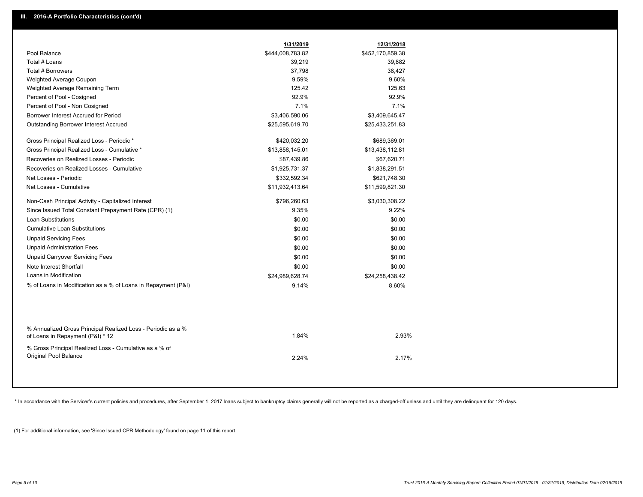|                                                                                                  | 1/31/2019        | 12/31/2018       |
|--------------------------------------------------------------------------------------------------|------------------|------------------|
| Pool Balance                                                                                     | \$444,008,783.82 | \$452,170,859.38 |
| Total # Loans                                                                                    | 39,219           | 39,882           |
| Total # Borrowers                                                                                | 37,798           | 38,427           |
| Weighted Average Coupon                                                                          | 9.59%            | 9.60%            |
| Weighted Average Remaining Term                                                                  | 125.42           | 125.63           |
| Percent of Pool - Cosigned                                                                       | 92.9%            | 92.9%            |
| Percent of Pool - Non Cosigned                                                                   | 7.1%             | 7.1%             |
| Borrower Interest Accrued for Period                                                             | \$3,406,590.06   | \$3,409,645.47   |
| <b>Outstanding Borrower Interest Accrued</b>                                                     | \$25,595,619.70  | \$25,433,251.83  |
| Gross Principal Realized Loss - Periodic *                                                       | \$420,032.20     | \$689,369.01     |
| Gross Principal Realized Loss - Cumulative *                                                     | \$13,858,145.01  | \$13,438,112.81  |
| Recoveries on Realized Losses - Periodic                                                         | \$87,439.86      | \$67,620.71      |
| Recoveries on Realized Losses - Cumulative                                                       | \$1,925,731.37   | \$1,838,291.51   |
| Net Losses - Periodic                                                                            | \$332,592.34     | \$621,748.30     |
| Net Losses - Cumulative                                                                          | \$11,932,413.64  | \$11,599,821.30  |
| Non-Cash Principal Activity - Capitalized Interest                                               | \$796,260.63     | \$3,030,308.22   |
| Since Issued Total Constant Prepayment Rate (CPR) (1)                                            | 9.35%            | 9.22%            |
| <b>Loan Substitutions</b>                                                                        | \$0.00           | \$0.00           |
| <b>Cumulative Loan Substitutions</b>                                                             | \$0.00           | \$0.00           |
| <b>Unpaid Servicing Fees</b>                                                                     | \$0.00           | \$0.00           |
| <b>Unpaid Administration Fees</b>                                                                | \$0.00           | \$0.00           |
| <b>Unpaid Carryover Servicing Fees</b>                                                           | \$0.00           | \$0.00           |
| Note Interest Shortfall                                                                          | \$0.00           | \$0.00           |
| Loans in Modification                                                                            | \$24,989,628.74  | \$24,258,438.42  |
| % of Loans in Modification as a % of Loans in Repayment (P&I)                                    | 9.14%            | 8.60%            |
|                                                                                                  |                  |                  |
| % Annualized Gross Principal Realized Loss - Periodic as a %<br>of Loans in Repayment (P&I) * 12 | 1.84%            | 2.93%            |
| % Gross Principal Realized Loss - Cumulative as a % of<br>Original Pool Balance                  | 2.24%            | 2.17%            |
|                                                                                                  |                  |                  |

\* In accordance with the Servicer's current policies and procedures, after September 1, 2017 loans subject to bankruptcy claims generally will not be reported as a charged-off unless and until they are delinquent for 120 d

(1) For additional information, see 'Since Issued CPR Methodology' found on page 11 of this report.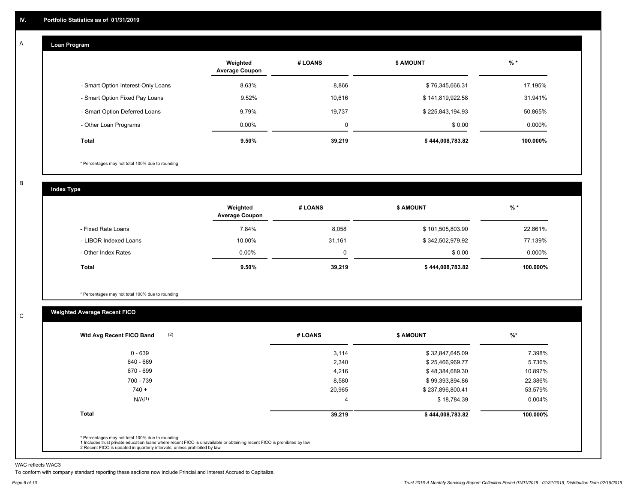#### **Loan Program**  A

|                                    | Weighted<br><b>Average Coupon</b> | # LOANS     | <b>\$ AMOUNT</b> | $%$ *    |
|------------------------------------|-----------------------------------|-------------|------------------|----------|
| - Smart Option Interest-Only Loans | 8.63%                             | 8,866       | \$76,345,666.31  | 17.195%  |
| - Smart Option Fixed Pay Loans     | 9.52%                             | 10.616      | \$141,819,922.58 | 31.941%  |
| - Smart Option Deferred Loans      | 9.79%                             | 19,737      | \$225,843,194.93 | 50.865%  |
| - Other Loan Programs              | $0.00\%$                          | $\mathbf 0$ | \$0.00           | 0.000%   |
| <b>Total</b>                       | 9.50%                             | 39,219      | \$444,008,783.82 | 100.000% |

\* Percentages may not total 100% due to rounding

B

C

**Index Type**

|                       | Weighted<br><b>Average Coupon</b> | # LOANS | <b>\$ AMOUNT</b> | %        |
|-----------------------|-----------------------------------|---------|------------------|----------|
| - Fixed Rate Loans    | 7.84%                             | 8,058   | \$101,505,803.90 | 22.861%  |
| - LIBOR Indexed Loans | 10.00%                            | 31,161  | \$342,502,979.92 | 77.139%  |
| - Other Index Rates   | $0.00\%$                          | 0       | \$0.00           | 0.000%   |
| Total                 | 9.50%                             | 39,219  | \$444,008,783.82 | 100.000% |

\* Percentages may not total 100% due to rounding

## **Weighted Average Recent FICO**

| $0 - 639$<br>640 - 669<br>670 - 699<br>700 - 739 | 3,114<br>2,340<br>4,216 | \$32,847,645.09<br>\$25,466,969.77<br>\$48,384,689.30 | 7.398%<br>5.736% |
|--------------------------------------------------|-------------------------|-------------------------------------------------------|------------------|
|                                                  |                         |                                                       |                  |
|                                                  |                         |                                                       |                  |
|                                                  |                         |                                                       | 10.897%          |
|                                                  | 8,580                   | \$99,393,894.86                                       | 22.386%          |
| $740 +$                                          | 20,965                  | \$237,896,800.41                                      | 53.579%          |
| N/A <sup>(1)</sup>                               | 4                       | \$18,784.39                                           | $0.004\%$        |
| <b>Total</b>                                     | 39,219                  | \$444,008,783.82                                      | 100.000%         |

WAC reflects WAC3

To conform with company standard reporting these sections now include Princial and Interest Accrued to Capitalize.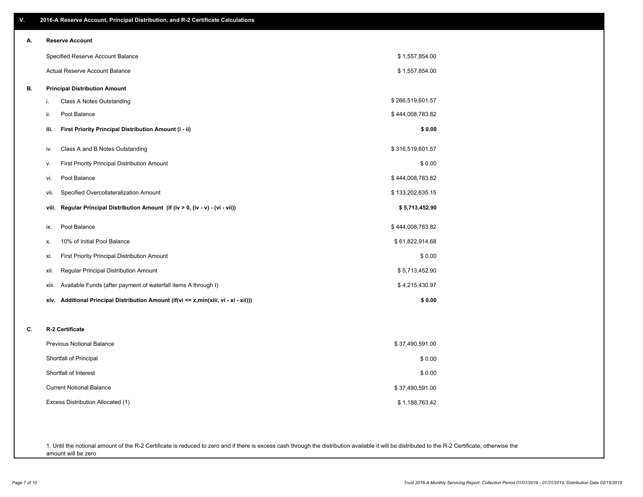| ٧. | 2016-A Reserve Account, Principal Distribution, and R-2 Certificate Calculations        |                  |  |
|----|-----------------------------------------------------------------------------------------|------------------|--|
| А. | <b>Reserve Account</b>                                                                  |                  |  |
|    | Specified Reserve Account Balance                                                       | \$1,557,854.00   |  |
|    | Actual Reserve Account Balance                                                          | \$1,557,854.00   |  |
| В. | <b>Principal Distribution Amount</b>                                                    |                  |  |
|    | Class A Notes Outstanding<br>i.                                                         | \$266,519,601.57 |  |
|    | Pool Balance<br>ii.                                                                     | \$444,008,783.82 |  |
|    | First Priority Principal Distribution Amount (i - ii)<br>iii.                           | \$0.00           |  |
|    | Class A and B Notes Outstanding<br>iv.                                                  | \$316,519,601.57 |  |
|    | First Priority Principal Distribution Amount<br>ν.                                      | \$0.00           |  |
|    | Pool Balance<br>vi.                                                                     | \$444,008,783.82 |  |
|    | Specified Overcollateralization Amount<br>vii.                                          | \$133,202,635.15 |  |
|    | Regular Principal Distribution Amount (if (iv > 0, (iv - v) - (vi - vii))<br>viii.      | \$5,713,452.90   |  |
|    | Pool Balance<br>ix.                                                                     | \$444,008,783.82 |  |
|    | 10% of Initial Pool Balance<br>х.                                                       | \$61,822,914.68  |  |
|    | First Priority Principal Distribution Amount<br>xi.                                     | \$0.00           |  |
|    | Regular Principal Distribution Amount<br>xii.                                           | \$5,713,452.90   |  |
|    | Available Funds (after payment of waterfall items A through I)<br>xiii.                 | \$4,215,430.97   |  |
|    | Additional Principal Distribution Amount (if(vi <= x,min(xiii, vi - xi - xii)))<br>xiv. | \$0.00           |  |
| C. | R-2 Certificate                                                                         |                  |  |
|    | <b>Previous Notional Balance</b>                                                        | \$37,490,591.00  |  |
|    | Shortfall of Principal                                                                  | \$0.00           |  |
|    | Shortfall of Interest                                                                   | \$0.00           |  |
|    | <b>Current Notional Balance</b>                                                         | \$37,490,591.00  |  |
|    | Excess Distribution Allocated (1)                                                       | \$1,188,763.42   |  |
|    |                                                                                         |                  |  |
|    |                                                                                         |                  |  |

1. Until the notional amount of the R-2 Certificate is reduced to zero and if there is excess cash through the distribution available it will be distributed to the R-2 Certificate, otherwise the amount will be zero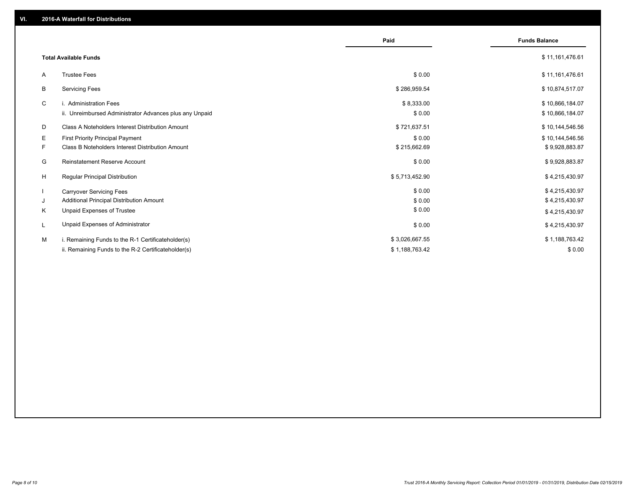|    |                                                         | Paid           | <b>Funds Balance</b> |
|----|---------------------------------------------------------|----------------|----------------------|
|    | <b>Total Available Funds</b>                            |                | \$11,161,476.61      |
| A  | <b>Trustee Fees</b>                                     | \$0.00         | \$11,161,476.61      |
| В  | <b>Servicing Fees</b>                                   | \$286,959.54   | \$10,874,517.07      |
| C  | i. Administration Fees                                  | \$8,333.00     | \$10,866,184.07      |
|    | ii. Unreimbursed Administrator Advances plus any Unpaid | \$0.00         | \$10,866,184.07      |
| D  | Class A Noteholders Interest Distribution Amount        | \$721,637.51   | \$10,144,546.56      |
| Е  | First Priority Principal Payment                        | \$0.00         | \$10,144,546.56      |
| F. | Class B Noteholders Interest Distribution Amount        | \$215,662.69   | \$9,928,883.87       |
| G  | <b>Reinstatement Reserve Account</b>                    | \$0.00         | \$9,928,883.87       |
| H  | Regular Principal Distribution                          | \$5,713,452.90 | \$4,215,430.97       |
|    | <b>Carryover Servicing Fees</b>                         | \$0.00         | \$4,215,430.97       |
| J  | Additional Principal Distribution Amount                | \$0.00         | \$4,215,430.97       |
| Κ  | Unpaid Expenses of Trustee                              | \$0.00         | \$4,215,430.97       |
|    | Unpaid Expenses of Administrator                        | \$0.00         | \$4,215,430.97       |
| м  | i. Remaining Funds to the R-1 Certificateholder(s)      | \$3,026,667.55 | \$1,188,763.42       |
|    | ii. Remaining Funds to the R-2 Certificateholder(s)     | \$1,188,763.42 | \$0.00               |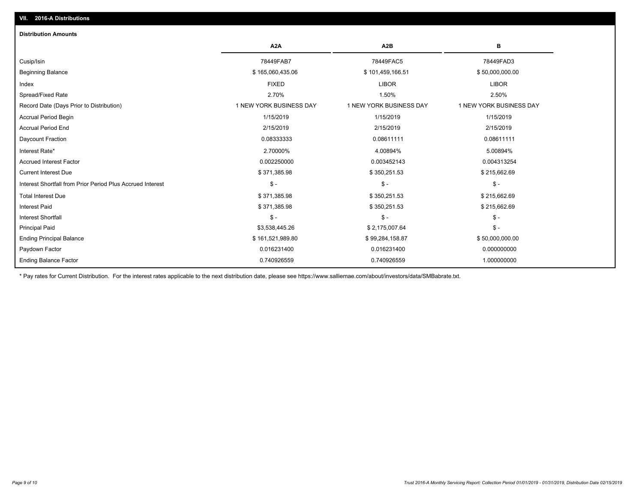| <b>Distribution Amounts</b>                                |                         |                         |                                |
|------------------------------------------------------------|-------------------------|-------------------------|--------------------------------|
|                                                            | A <sub>2</sub> A        | A2B                     | в                              |
| Cusip/Isin                                                 | 78449FAB7               | 78449FAC5               | 78449FAD3                      |
| <b>Beginning Balance</b>                                   | \$165,060,435.06        | \$101,459,166.51        | \$50,000,000.00                |
| Index                                                      | <b>FIXED</b>            | <b>LIBOR</b>            | <b>LIBOR</b>                   |
| Spread/Fixed Rate                                          | 2.70%                   | 1.50%                   | 2.50%                          |
| Record Date (Days Prior to Distribution)                   | 1 NEW YORK BUSINESS DAY | 1 NEW YORK BUSINESS DAY | <b>1 NEW YORK BUSINESS DAY</b> |
| <b>Accrual Period Begin</b>                                | 1/15/2019               | 1/15/2019               | 1/15/2019                      |
| <b>Accrual Period End</b>                                  | 2/15/2019               | 2/15/2019               | 2/15/2019                      |
| Daycount Fraction                                          | 0.08333333              | 0.08611111              | 0.08611111                     |
| Interest Rate*                                             | 2.70000%                | 4.00894%                | 5.00894%                       |
| <b>Accrued Interest Factor</b>                             | 0.002250000             | 0.003452143             | 0.004313254                    |
| <b>Current Interest Due</b>                                | \$371,385.98            | \$350,251.53            | \$215,662.69                   |
| Interest Shortfall from Prior Period Plus Accrued Interest | $$ -$                   | $\mathsf{\$}$ -         | $\frac{1}{2}$                  |
| <b>Total Interest Due</b>                                  | \$371,385.98            | \$350,251.53            | \$215,662.69                   |
| <b>Interest Paid</b>                                       | \$371,385.98            | \$350,251.53            | \$215,662.69                   |
| <b>Interest Shortfall</b>                                  | $$ -$                   | $\mathsf{\$}$ -         | $$ -$                          |
| <b>Principal Paid</b>                                      | \$3,538,445.26          | \$2,175,007.64          | $$ -$                          |
| <b>Ending Principal Balance</b>                            | \$161,521,989.80        | \$99,284,158.87         | \$50,000,000.00                |
| Paydown Factor                                             | 0.016231400             | 0.016231400             | 0.000000000                    |
| <b>Ending Balance Factor</b>                               | 0.740926559             | 0.740926559             | 1.000000000                    |

\* Pay rates for Current Distribution. For the interest rates applicable to the next distribution date, please see https://www.salliemae.com/about/investors/data/SMBabrate.txt.

**VII. 2016-A Distributions**